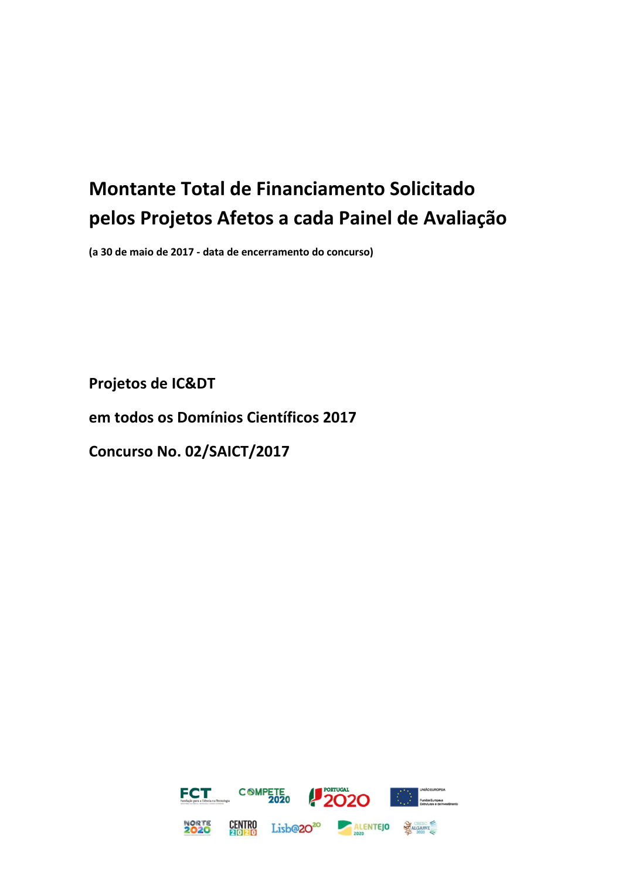## **Montante Total de Financiamento Solicitado pelos Projetos Afetos a cada Painel de Avaliação**

**(a 30 de maio de 2017 - data de encerramento do concurso)**

**Projetos de IC&DT**

**em todos os Domínios Científicos 2017**

**Concurso No. 02/SAICT/2017**